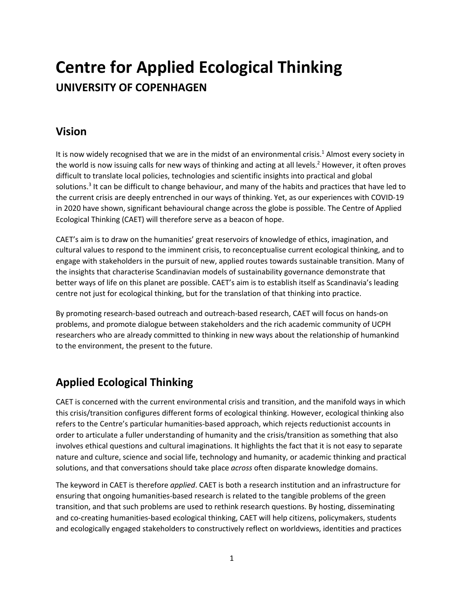# **Centre for Applied Ecological Thinking UNIVERSITY OF COPENHAGEN**

## **Vision**

It is now widely recognised that we are in the midst of an environmental crisis.<sup>1</sup> Almost every society in the world is now issuing calls for new ways of thinking and acting at all levels. <sup>2</sup> However, it often proves difficult to translate local policies, technologies and scientific insights into practical and global solutions.<sup>3</sup> It can be difficult to change behaviour, and many of the habits and practices that have led to the current crisis are deeply entrenched in our ways of thinking. Yet, as our experiences with COVID-19 in 2020 have shown, significant behavioural change across the globe is possible. The Centre of Applied Ecological Thinking (CAET) will therefore serve as a beacon of hope.

CAET's aim is to draw on the humanities' great reservoirs of knowledge of ethics, imagination, and cultural values to respond to the imminent crisis, to reconceptualise current ecological thinking, and to engage with stakeholders in the pursuit of new, applied routes towards sustainable transition. Many of the insights that characterise Scandinavian models of sustainability governance demonstrate that better ways of life on this planet are possible. CAET's aim is to establish itself as Scandinavia's leading centre not just for ecological thinking, but for the translation of that thinking into practice.

By promoting research-based outreach and outreach-based research, CAET will focus on hands-on problems, and promote dialogue between stakeholders and the rich academic community of UCPH researchers who are already committed to thinking in new ways about the relationship of humankind to the environment, the present to the future.

# **Applied Ecological Thinking**

CAET is concerned with the current environmental crisis and transition, and the manifold ways in which this crisis/transition configures different forms of ecological thinking. However, ecological thinking also refers to the Centre's particular humanities-based approach, which rejects reductionist accounts in order to articulate a fuller understanding of humanity and the crisis/transition as something that also involves ethical questions and cultural imaginations. It highlights the fact that it is not easy to separate nature and culture, science and social life, technology and humanity, or academic thinking and practical solutions, and that conversations should take place *across* often disparate knowledge domains.

The keyword in CAET is therefore *applied*. CAET is both a research institution and an infrastructure for ensuring that ongoing humanities-based research is related to the tangible problems of the green transition, and that such problems are used to rethink research questions. By hosting, disseminating and co-creating humanities-based ecological thinking, CAET will help citizens, policymakers, students and ecologically engaged stakeholders to constructively reflect on worldviews, identities and practices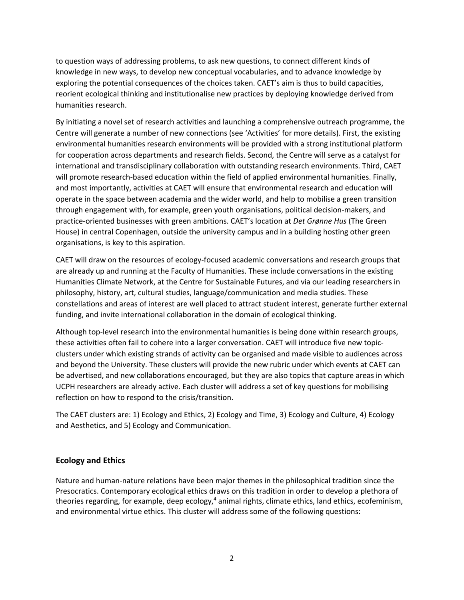to question ways of addressing problems, to ask new questions, to connect different kinds of knowledge in new ways, to develop new conceptual vocabularies, and to advance knowledge by exploring the potential consequences of the choices taken. CAET's aim is thus to build capacities, reorient ecological thinking and institutionalise new practices by deploying knowledge derived from humanities research.

By initiating a novel set of research activities and launching a comprehensive outreach programme, the Centre will generate a number of new connections (see 'Activities' for more details). First, the existing environmental humanities research environments will be provided with a strong institutional platform for cooperation across departments and research fields. Second, the Centre will serve as a catalyst for international and transdisciplinary collaboration with outstanding research environments. Third, CAET will promote research-based education within the field of applied environmental humanities. Finally, and most importantly, activities at CAET will ensure that environmental research and education will operate in the space between academia and the wider world, and help to mobilise a green transition through engagement with, for example, green youth organisations, political decision-makers, and practice-oriented businesses with green ambitions. CAET's location at *Det Grønne Hus* (The Green House) in central Copenhagen, outside the university campus and in a building hosting other green organisations, is key to this aspiration.

CAET will draw on the resources of ecology-focused academic conversations and research groups that are already up and running at the Faculty of Humanities. These include conversations in the existing Humanities Climate Network, at the Centre for Sustainable Futures, and via our leading researchers in philosophy, history, art, cultural studies, language/communication and media studies. These constellations and areas of interest are well placed to attract student interest, generate further external funding, and invite international collaboration in the domain of ecological thinking.

Although top-level research into the environmental humanities is being done within research groups, these activities often fail to cohere into a larger conversation. CAET will introduce five new topicclusters under which existing strands of activity can be organised and made visible to audiences across and beyond the University. These clusters will provide the new rubric under which events at CAET can be advertised, and new collaborations encouraged, but they are also topics that capture areas in which UCPH researchers are already active. Each cluster will address a set of key questions for mobilising reflection on how to respond to the crisis/transition.

The CAET clusters are: 1) Ecology and Ethics, 2) Ecology and Time, 3) Ecology and Culture, 4) Ecology and Aesthetics, and 5) Ecology and Communication.

#### **Ecology and Ethics**

Nature and human-nature relations have been major themes in the philosophical tradition since the Presocratics. Contemporary ecological ethics draws on this tradition in order to develop a plethora of theories regarding, for example, deep ecology,<sup>4</sup> animal rights, climate ethics, land ethics, ecofeminism, and environmental virtue ethics. This cluster will address some of the following questions: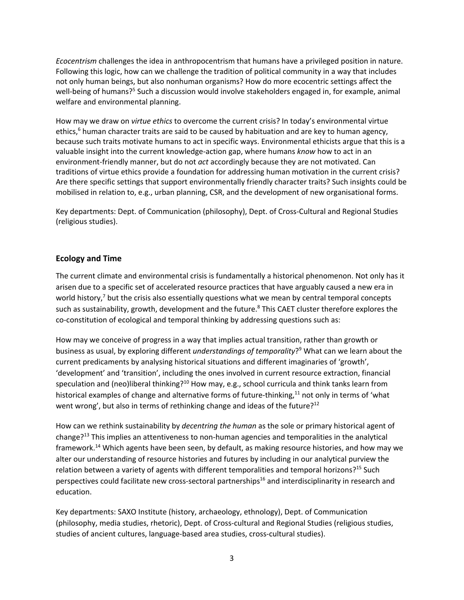*Ecocentrism* challenges the idea in anthropocentrism that humans have a privileged position in nature. Following this logic, how can we challenge the tradition of political community in a way that includes not only human beings, but also nonhuman organisms? How do more ecocentric settings affect the well-being of humans?<sup>5</sup> Such a discussion would involve stakeholders engaged in, for example, animal welfare and environmental planning.

How may we draw on *virtue ethics* to overcome the current crisis? In today's environmental virtue ethics,<sup>6</sup> human character traits are said to be caused by habituation and are key to human agency, because such traits motivate humans to act in specific ways. Environmental ethicists argue that this is a valuable insight into the current knowledge-action gap, where humans *know* how to act in an environment-friendly manner, but do not *act* accordingly because they are not motivated. Can traditions of virtue ethics provide a foundation for addressing human motivation in the current crisis? Are there specific settings that support environmentally friendly character traits? Such insights could be mobilised in relation to, e.g., urban planning, CSR, and the development of new organisational forms.

Key departments: Dept. of Communication (philosophy), Dept. of Cross-Cultural and Regional Studies (religious studies).

#### **Ecology and Time**

The current climate and environmental crisis is fundamentally a historical phenomenon. Not only has it arisen due to a specific set of accelerated resource practices that have arguably caused a new era in world history,<sup>7</sup> but the crisis also essentially questions what we mean by central temporal concepts such as sustainability, growth, development and the future.<sup>8</sup> This CAET cluster therefore explores the co-constitution of ecological and temporal thinking by addressing questions such as:

How may we conceive of progress in a way that implies actual transition, rather than growth or business as usual, by exploring different *understandings of temporality*?9 What can we learn about the current predicaments by analysing historical situations and different imaginaries of 'growth', 'development' and 'transition', including the ones involved in current resource extraction, financial speculation and (neo)liberal thinking?<sup>10</sup> How may, e.g., school curricula and think tanks learn from historical examples of change and alternative forms of future-thinking,<sup>11</sup> not only in terms of 'what went wrong', but also in terms of rethinking change and ideas of the future? $12$ 

How can we rethink sustainability by *decentring the human* as the sole or primary historical agent of change?13 This implies an attentiveness to non-human agencies and temporalities in the analytical framework.<sup>14</sup> Which agents have been seen, by default, as making resource histories, and how may we alter our understanding of resource histories and futures by including in our analytical purview the relation between a variety of agents with different temporalities and temporal horizons?<sup>15</sup> Such perspectives could facilitate new cross-sectoral partnerships<sup>16</sup> and interdisciplinarity in research and education.

Key departments: SAXO Institute (history, archaeology, ethnology), Dept. of Communication (philosophy, media studies, rhetoric), Dept. of Cross-cultural and Regional Studies (religious studies, studies of ancient cultures, language-based area studies, cross-cultural studies).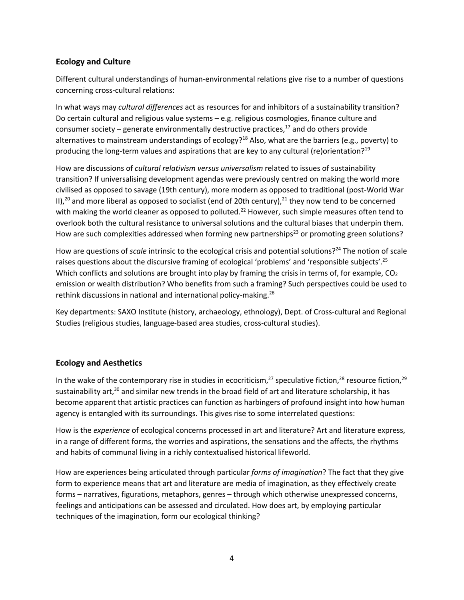#### **Ecology and Culture**

Different cultural understandings of human-environmental relations give rise to a number of questions concerning cross-cultural relations:

In what ways may *cultural differences* act as resources for and inhibitors of a sustainability transition? Do certain cultural and religious value systems – e.g. religious cosmologies, finance culture and consumer society – generate environmentally destructive practices, $^{17}$  and do others provide alternatives to mainstream understandings of ecology?<sup>18</sup> Also, what are the barriers (e.g., poverty) to producing the long-term values and aspirations that are key to any cultural (re)orientation?<sup>19</sup>

How are discussions of *cultural relativism versus universalism* related to issues of sustainability transition? If universalising development agendas were previously centred on making the world more civilised as opposed to savage (19th century), more modern as opposed to traditional (post-World War II),<sup>20</sup> and more liberal as opposed to socialist (end of 20th century),<sup>21</sup> they now tend to be concerned with making the world cleaner as opposed to polluted.<sup>22</sup> However, such simple measures often tend to overlook both the cultural resistance to universal solutions and the cultural biases that underpin them. How are such complexities addressed when forming new partnerships<sup>23</sup> or promoting green solutions?

How are questions of *scale* intrinsic to the ecological crisis and potential solutions?<sup>24</sup> The notion of scale raises questions about the discursive framing of ecological 'problems' and 'responsible subjects'.<sup>25</sup> Which conflicts and solutions are brought into play by framing the crisis in terms of, for example,  $CO<sub>2</sub>$ emission or wealth distribution? Who benefits from such a framing? Such perspectives could be used to rethink discussions in national and international policy-making.<sup>26</sup>

Key departments: SAXO Institute (history, archaeology, ethnology), Dept. of Cross-cultural and Regional Studies (religious studies, language-based area studies, cross-cultural studies).

#### **Ecology and Aesthetics**

In the wake of the contemporary rise in studies in ecocriticism,<sup>27</sup> speculative fiction,<sup>28</sup> resource fiction,<sup>29</sup> sustainability art,<sup>30</sup> and similar new trends in the broad field of art and literature scholarship, it has become apparent that artistic practices can function as harbingers of profound insight into how human agency is entangled with its surroundings. This gives rise to some interrelated questions:

How is the *experience* of ecological concerns processed in art and literature? Art and literature express, in a range of different forms, the worries and aspirations, the sensations and the affects, the rhythms and habits of communal living in a richly contextualised historical lifeworld.

How are experiences being articulated through particular *forms of imagination*? The fact that they give form to experience means that art and literature are media of imagination, as they effectively create forms – narratives, figurations, metaphors, genres – through which otherwise unexpressed concerns, feelings and anticipations can be assessed and circulated. How does art, by employing particular techniques of the imagination, form our ecological thinking?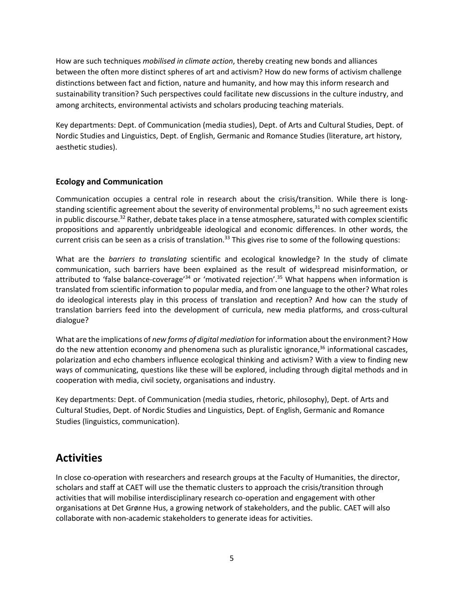How are such techniques *mobilised in climate action*, thereby creating new bonds and alliances between the often more distinct spheres of art and activism? How do new forms of activism challenge distinctions between fact and fiction, nature and humanity, and how may this inform research and sustainability transition? Such perspectives could facilitate new discussions in the culture industry, and among architects, environmental activists and scholars producing teaching materials.

Key departments: Dept. of Communication (media studies), Dept. of Arts and Cultural Studies, Dept. of Nordic Studies and Linguistics, Dept. of English, Germanic and Romance Studies (literature, art history, aesthetic studies).

#### **Ecology and Communication**

Communication occupies a central role in research about the crisis/transition. While there is longstanding scientific agreement about the severity of environmental problems, $31$  no such agreement exists in public discourse.<sup>32</sup> Rather, debate takes place in a tense atmosphere, saturated with complex scientific propositions and apparently unbridgeable ideological and economic differences. In other words, the current crisis can be seen as a crisis of translation.<sup>33</sup> This gives rise to some of the following questions:

What are the *barriers to translating* scientific and ecological knowledge? In the study of climate communication, such barriers have been explained as the result of widespread misinformation, or attributed to 'false balance-coverage'<sup>34</sup> or 'motivated rejection'.<sup>35</sup> What happens when information is translated from scientific information to popular media, and from one language to the other? What roles do ideological interests play in this process of translation and reception? And how can the study of translation barriers feed into the development of curricula, new media platforms, and cross-cultural dialogue?

What are the implications of *new forms of digital mediation* for information about the environment? How do the new attention economy and phenomena such as pluralistic ignorance,<sup>36</sup> informational cascades, polarization and echo chambers influence ecological thinking and activism? With a view to finding new ways of communicating, questions like these will be explored, including through digital methods and in cooperation with media, civil society, organisations and industry.

Key departments: Dept. of Communication (media studies, rhetoric, philosophy), Dept. of Arts and Cultural Studies, Dept. of Nordic Studies and Linguistics, Dept. of English, Germanic and Romance Studies (linguistics, communication).

## **Activities**

In close co-operation with researchers and research groups at the Faculty of Humanities, the director, scholars and staff at CAET will use the thematic clusters to approach the crisis/transition through activities that will mobilise interdisciplinary research co-operation and engagement with other organisations at Det Grønne Hus, a growing network of stakeholders, and the public. CAET will also collaborate with non-academic stakeholders to generate ideas for activities.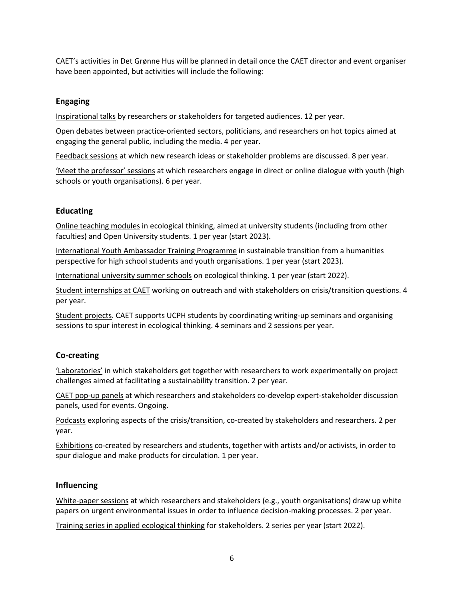CAET's activities in Det Grønne Hus will be planned in detail once the CAET director and event organiser have been appointed, but activities will include the following:

#### **Engaging**

Inspirational talks by researchers or stakeholders for targeted audiences. 12 per year.

Open debates between practice-oriented sectors, politicians, and researchers on hot topics aimed at engaging the general public, including the media. 4 per year.

Feedback sessions at which new research ideas or stakeholder problems are discussed. 8 per year.

'Meet the professor' sessions at which researchers engage in direct or online dialogue with youth (high schools or youth organisations). 6 per year.

#### **Educating**

Online teaching modules in ecological thinking, aimed at university students (including from other faculties) and Open University students. 1 per year (start 2023).

International Youth Ambassador Training Programme in sustainable transition from a humanities perspective for high school students and youth organisations. 1 per year (start 2023).

International university summer schools on ecological thinking. 1 per year (start 2022).

Student internships at CAET working on outreach and with stakeholders on crisis/transition questions. 4 per year.

Student projects. CAET supports UCPH students by coordinating writing-up seminars and organising sessions to spur interest in ecological thinking. 4 seminars and 2 sessions per year.

#### **Co-creating**

'Laboratories' in which stakeholders get together with researchers to work experimentally on project challenges aimed at facilitating a sustainability transition. 2 per year.

CAET pop-up panels at which researchers and stakeholders co-develop expert-stakeholder discussion panels, used for events. Ongoing.

Podcasts exploring aspects of the crisis/transition, co-created by stakeholders and researchers. 2 per year.

Exhibitions co-created by researchers and students, together with artists and/or activists, in order to spur dialogue and make products for circulation. 1 per year.

#### **Influencing**

White-paper sessions at which researchers and stakeholders (e.g., youth organisations) draw up white papers on urgent environmental issues in order to influence decision-making processes. 2 per year.

Training series in applied ecological thinking for stakeholders. 2 series per year (start 2022).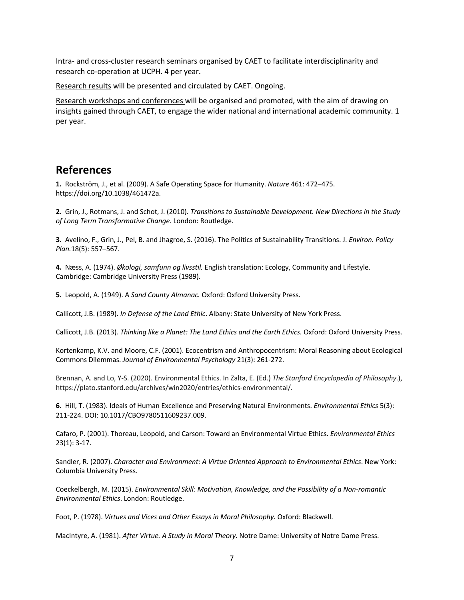Intra- and cross-cluster research seminars organised by CAET to facilitate interdisciplinarity and research co-operation at UCPH. 4 per year.

Research results will be presented and circulated by CAET. Ongoing.

Research workshops and conferences will be organised and promoted, with the aim of drawing on insights gained through CAET, to engage the wider national and international academic community. 1 per year.

### **References**

**1.** Rockström, J., et al. (2009). A Safe Operating Space for Humanity. *Nature* 461: 472–475. https://doi.org/10.1038/461472a.

**2.** Grin, J., Rotmans, J. and Schot, J. (2010). *Transitions to Sustainable Development. New Directions in the Study of Long Term Transformative Change*. London: Routledge.

**3.** Avelino, F., Grin, J., Pel, B. and Jhagroe, S. (2016). The Politics of Sustainability Transitions. J. *Environ. Policy Plan.*18(5): 557–567.

**4.** Næss, A. (1974). *Økologi, samfunn og livsstil.* English translation: Ecology, Community and Lifestyle. Cambridge: Cambridge University Press (1989).

**5.** Leopold, A. (1949). A *Sand County Almanac.* Oxford: Oxford University Press.

Callicott, J.B. (1989). *In Defense of the Land Ethic*. Albany: State University of New York Press.

Callicott, J.B. (2013). *Thinking like a Planet: The Land Ethics and the Earth Ethics.* Oxford: Oxford University Press.

Kortenkamp, K.V. and Moore, C.F. (2001). Ecocentrism and Anthropocentrism: Moral Reasoning about Ecological Commons Dilemmas. *Journal of Environmental Psychology* 21(3): 261-272.

Brennan, A. and Lo, Y-S. (2020). Environmental Ethics. In Zalta, E. (Ed.) *The Stanford Encyclopedia of Philosophy*.), https://plato.stanford.edu/archives/win2020/entries/ethics-environmental/.

**6.** Hill, T. (1983). Ideals of Human Excellence and Preserving Natural Environments. *Environmental Ethics* 5(3): 211-224. DOI: 10.1017/CBO9780511609237.009.

Cafaro, P. (2001). Thoreau, Leopold, and Carson: Toward an Environmental Virtue Ethics. *Environmental Ethics* 23(1): 3-17.

Sandler, R. (2007). *Character and Environment: A Virtue Oriented Approach to Environmental Ethics*. New York: Columbia University Press.

Coeckelbergh, M. (2015). *Environmental Skill: Motivation, Knowledge, and the Possibility of a Non-romantic Environmental Ethics*. London: Routledge.

Foot, P. (1978). *Virtues and Vices and Other Essays in Moral Philosophy.* Oxford: Blackwell.

MacIntyre, A. (1981). *After Virtue. A Study in Moral Theory.* Notre Dame: University of Notre Dame Press.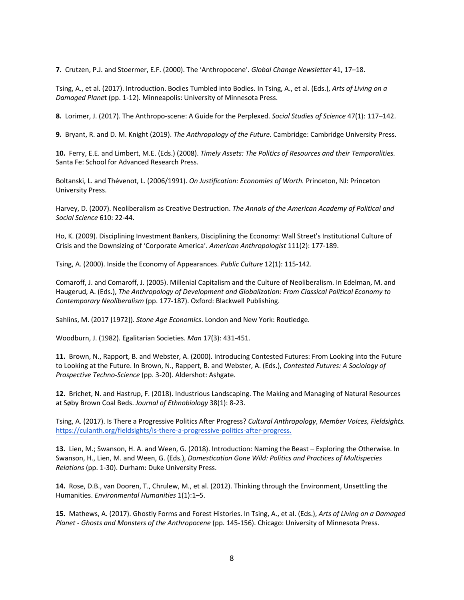**7.** Crutzen, P.J. and Stoermer, E.F. (2000). The 'Anthropocene'. *Global Change Newsletter* 41, 17–18.

Tsing, A., et al. (2017). Introduction. Bodies Tumbled into Bodies. In Tsing, A., et al. (Eds.), *Arts of Living on a Damaged Plane*t (pp. 1-12). Minneapolis: University of Minnesota Press.

**8.** Lorimer, J. (2017). The Anthropo-scene: A Guide for the Perplexed. *Social Studies of Science* 47(1): 117–142.

**9.** Bryant, R. and D. M. Knight (2019). *The Anthropology of the Future.* Cambridge: Cambridge University Press.

**10.** Ferry, E.E. and Limbert, M.E. (Eds.) (2008). *Timely Assets: The Politics of Resources and their Temporalities.* Santa Fe: School for Advanced Research Press.

Boltanski, L. and Thévenot, L. (2006/1991). *On Justification: Economies of Worth.* Princeton, NJ: Princeton University Press.

Harvey, D. (2007). Neoliberalism as Creative Destruction. *The Annals of the American Academy of Political and Social Science* 610: 22-44.

Ho, K. (2009). Disciplining Investment Bankers, Disciplining the Economy: Wall Street's Institutional Culture of Crisis and the Downsizing of 'Corporate America'. *American Anthropologist* 111(2): 177-189.

Tsing, A. (2000). Inside the Economy of Appearances. *Public Culture* 12(1): 115-142.

Comaroff, J. and Comaroff, J. (2005). Millenial Capitalism and the Culture of Neoliberalism. In Edelman, M. and Haugerud, A. (Eds.), *The Anthropology of Development and Globalization: From Classical Political Economy to Contemporary Neoliberalism* (pp. 177-187). Oxford: Blackwell Publishing.

Sahlins, M. (2017 [1972]). *Stone Age Economics*. London and New York: Routledge.

Woodburn, J. (1982). Egalitarian Societies. *Man* 17(3): 431-451.

**11.** Brown, N., Rapport, B. and Webster, A. (2000). Introducing Contested Futures: From Looking into the Future to Looking at the Future. In Brown, N., Rappert, B. and Webster, A. (Eds.), *Contested Futures: A Sociology of Prospective Techno-Science* (pp. 3-20). Aldershot: Ashgate.

**12.** Brichet, N. and Hastrup, F. (2018). Industrious Landscaping. The Making and Managing of Natural Resources at Søby Brown Coal Beds. *Journal of Ethnobiology* 38(1): 8-23.

Tsing, A. (2017). Is There a Progressive Politics After Progress? *Cultural Anthropology*, *Member Voices, Fieldsights.* https://culanth.org/fieldsights/is-there-a-progressive-politics-after-progress.

**13.** Lien, M.; Swanson, H. A. and Ween, G. (2018). Introduction: Naming the Beast – Exploring the Otherwise. In Swanson, H., Lien, M. and Ween, G. (Eds.), *Domestication Gone Wild: Politics and Practices of Multispecies Relations* (pp. 1-30). Durham: Duke University Press.

**14.** Rose, D.B., van Dooren, T., Chrulew, M., et al. (2012). Thinking through the Environment, Unsettling the Humanities. *Environmental Humanities* 1(1):1–5.

**15.** Mathews, A. (2017). Ghostly Forms and Forest Histories. In Tsing, A., et al. (Eds.), *Arts of Living on a Damaged Planet - Ghosts and Monsters of the Anthropocene* (pp. 145-156). Chicago: University of Minnesota Press.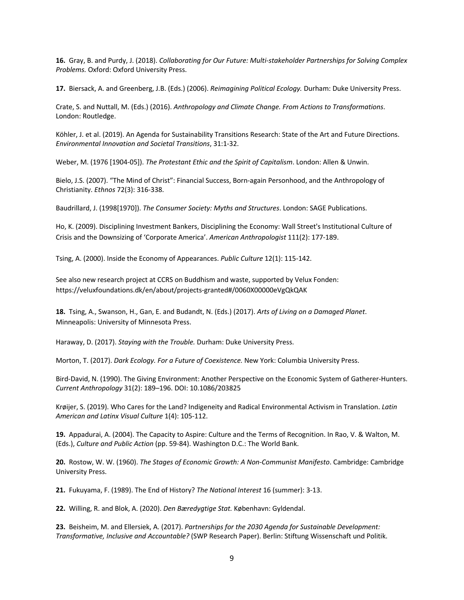**16.** Gray, B. and Purdy, J. (2018). *Collaborating for Our Future: Multi-stakeholder Partnerships for Solving Complex Problems.* Oxford: Oxford University Press.

**17.** Biersack, A. and Greenberg, J.B. (Eds.) (2006). *Reimagining Political Ecology.* Durham: Duke University Press.

Crate, S. and Nuttall, M. (Eds.) (2016). *Anthropology and Climate Change. From Actions to Transformations*. London: Routledge.

Köhler, J. et al. (2019). An Agenda for Sustainability Transitions Research: State of the Art and Future Directions. *Environmental Innovation and Societal Transitions*, 31:1-32.

Weber, M. (1976 [1904-05]). *The Protestant Ethic and the Spirit of Capitalism*. London: Allen & Unwin.

Bielo, J.S. (2007). "The Mind of Christ": Financial Success, Born-again Personhood, and the Anthropology of Christianity. *Ethnos* 72(3): 316-338.

Baudrillard, J. (1998[1970]). *The Consumer Society: Myths and Structures*. London: SAGE Publications.

Ho, K. (2009). Disciplining Investment Bankers, Disciplining the Economy: Wall Street's Institutional Culture of Crisis and the Downsizing of 'Corporate America'. *American Anthropologist* 111(2): 177-189.

Tsing, A. (2000). Inside the Economy of Appearances. *Public Culture* 12(1): 115-142.

See also new research project at CCRS on Buddhism and waste, supported by Velux Fonden: https://veluxfoundations.dk/en/about/projects-granted#/0060X00000eVgQkQAK

**18.** Tsing, A., Swanson, H., Gan, E. and Budandt, N. (Eds.) (2017). *Arts of Living on a Damaged Planet*. Minneapolis: University of Minnesota Press.

Haraway, D. (2017). *Staying with the Trouble.* Durham: Duke University Press.

Morton, T. (2017). *Dark Ecology. For a Future of Coexistence.* New York: Columbia University Press.

Bird-David, N. (1990). The Giving Environment: Another Perspective on the Economic System of Gatherer-Hunters. *Current Anthropology* 31(2): 189–196. DOI: 10.1086/203825

Krøijer, S. (2019). Who Cares for the Land? Indigeneity and Radical Environmental Activism in Translation. *Latin American and Latinx Visual Culture* 1(4): 105-112.

**19.** Appadurai, A. (2004). The Capacity to Aspire: Culture and the Terms of Recognition. In Rao, V. & Walton, M. (Eds.), *Culture and Public Action* (pp. 59-84). Washington D.C.: The World Bank.

**20.** Rostow, W. W. (1960). *The Stages of Economic Growth: A Non-Communist Manifesto*. Cambridge: Cambridge University Press.

**21.** Fukuyama, F. (1989). The End of History? *The National Interest* 16 (summer): 3-13.

**22.** Willing, R. and Blok, A. (2020). *Den Bæredygtige Stat.* København: Gyldendal.

**23.** Beisheim, M. and Ellersiek, A. (2017). *Partnerships for the 2030 Agenda for Sustainable Development: Transformative, Inclusive and Accountable?* (SWP Research Paper). Berlin: Stiftung Wissenschaft und Politik.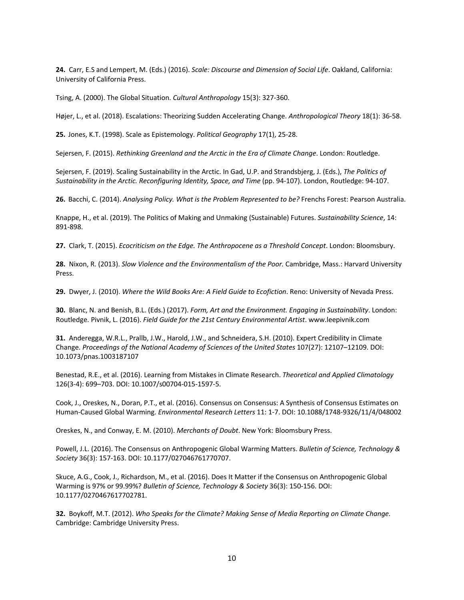**24.** Carr, E.S and Lempert, M. (Eds.) (2016). *Scale: Discourse and Dimension of Social Life*. Oakland, California: University of California Press.

Tsing, A. (2000). The Global Situation. *Cultural Anthropology* 15(3): 327-360.

Højer, L., et al. (2018). Escalations: Theorizing Sudden Accelerating Change. *Anthropological Theory* 18(1): 36-58.

**25.** Jones, K.T. (1998). Scale as Epistemology. *Political Geography* 17(1), 25-28.

Sejersen, F. (2015). *Rethinking Greenland and the Arctic in the Era of Climate Change*. London: Routledge.

Sejersen, F. (2019). Scaling Sustainability in the Arctic. In Gad, U.P. and Strandsbjerg, J. (Eds.), *The Politics of Sustainability in the Arctic. Reconfiguring Identity, Space, and Time* (pp. 94-107). London, Routledge: 94-107.

**26.** Bacchi, C. (2014). *Analysing Policy. What is the Problem Represented to be?* Frenchs Forest: Pearson Australia.

Knappe, H., et al. (2019). The Politics of Making and Unmaking (Sustainable) Futures. *Sustainability Science*, 14: 891-898.

**27.** Clark, T. (2015). *Ecocriticism on the Edge. The Anthropocene as a Threshold Concept*. London: Bloomsbury.

**28.** Nixon, R. (2013). *Slow Violence and the Environmentalism of the Poor.* Cambridge, Mass.: Harvard University Press.

**29.** Dwyer, J. (2010). *Where the Wild Books Are: A Field Guide to Ecofiction*. Reno: University of Nevada Press.

**30.** Blanc, N. and Benish, B.L. (Eds.) (2017). *Form, Art and the Environment. Engaging in Sustainability*. London: Routledge. Pivnik, L. (2016). *Field Guide for the 21st Century Environmental Artist*. www.leepivnik.com

**31.** Anderegga, W.R.L., Prallb, J.W., Harold, J.W., and Schneidera, S.H. (2010). Expert Credibility in Climate Change. *Proceedings of the National Academy of Sciences of the United States* 107(27): 12107–12109. DOI: 10.1073/pnas.1003187107

Benestad, R.E., et al. (2016). Learning from Mistakes in Climate Research. *Theoretical and Applied Climatology* 126(3-4): 699–703. DOI: 10.1007/s00704-015-1597-5.

Cook, J., Oreskes, N., Doran, P.T., et al. (2016). Consensus on Consensus: A Synthesis of Consensus Estimates on Human-Caused Global Warming. *Environmental Research Letters* 11: 1-7. DOI: 10.1088/1748-9326/11/4/048002

Oreskes, N., and Conway, E. M. (2010). *Merchants of Doubt*. New York: Bloomsbury Press.

Powell, J.L. (2016). The Consensus on Anthropogenic Global Warming Matters. *Bulletin of Science, Technology & Society* 36(3): 157-163. DOI: 10.1177/027046761770707.

Skuce, A.G., Cook, J., Richardson, M., et al. (2016). Does It Matter if the Consensus on Anthropogenic Global Warming is 97% or 99.99%? *Bulletin of Science, Technology & Society* 36(3): 150-156. DOI: 10.1177/0270467617702781.

**32.** Boykoff, M.T. (2012). *Who Speaks for the Climate? Making Sense of Media Reporting on Climate Change.* Cambridge: Cambridge University Press.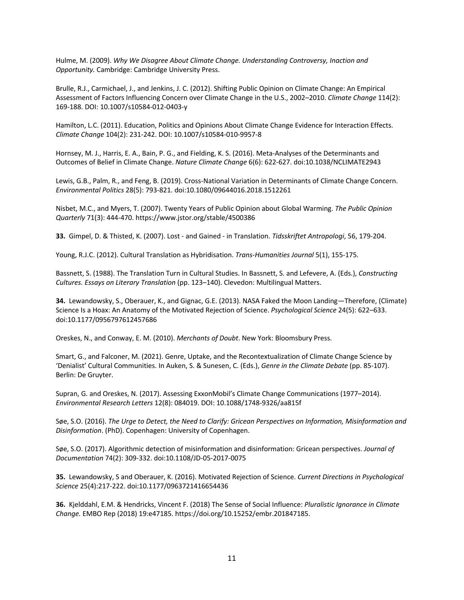Hulme, M. (2009). *Why We Disagree About Climate Change. Understanding Controversy, Inaction and Opportunity.* Cambridge: Cambridge University Press.

Brulle, R.J., Carmichael, J., and Jenkins, J. C. (2012). Shifting Public Opinion on Climate Change: An Empirical Assessment of Factors Influencing Concern over Climate Change in the U.S., 2002–2010. *Climate Change* 114(2): 169-188. DOI: 10.1007/s10584-012-0403-y

Hamilton, L.C. (2011). Education, Politics and Opinions About Climate Change Evidence for Interaction Effects. *Climate Change* 104(2): 231-242. DOI: 10.1007/s10584-010-9957-8

Hornsey, M. J., Harris, E. A., Bain, P. G., and Fielding, K. S. (2016). Meta-Analyses of the Determinants and Outcomes of Belief in Climate Change. *Nature Climate Change* 6(6): 622-627. doi:10.1038/NCLIMATE2943

Lewis, G.B., Palm, R., and Feng, B. (2019). Cross-National Variation in Determinants of Climate Change Concern. *Environmental Politics* 28(5): 793-821. doi:10.1080/09644016.2018.1512261

Nisbet, M.C., and Myers, T. (2007). Twenty Years of Public Opinion about Global Warming. *The Public Opinion Quarterly* 71(3): 444-470. https://www.jstor.org/stable/4500386

**33.** Gimpel, D. & Thisted, K. (2007). Lost - and Gained - in Translation. *Tidsskriftet Antropologi*, 56, 179-204.

Young, R.J.C. (2012). Cultural Translation as Hybridisation. *Trans-Humanities Journal* 5(1), 155-175.

Bassnett, S. (1988). The Translation Turn in Cultural Studies. In Bassnett, S. and Lefevere, A. (Eds.), *Constructing Cultures. Essays on Literary Translation* (pp. 123–140). Clevedon: Multilingual Matters.

**34.** Lewandowsky, S., Oberauer, K., and Gignac, G.E. (2013). NASA Faked the Moon Landing—Therefore, (Climate) Science Is a Hoax: An Anatomy of the Motivated Rejection of Science. *Psychological Science* 24(5): 622–633. doi:10.1177/0956797612457686

Oreskes, N., and Conway, E. M. (2010). *Merchants of Doubt*. New York: Bloomsbury Press.

Smart, G., and Falconer, M. (2021). Genre, Uptake, and the Recontextualization of Climate Change Science by 'Denialist' Cultural Communities. In Auken, S. & Sunesen, C. (Eds.), *Genre in the Climate Debate* (pp. 85-107). Berlin: De Gruyter.

Supran, G. and Oreskes, N. (2017). Assessing ExxonMobil's Climate Change Communications (1977–2014). *Environmental Research Letters* 12(8): 084019. DOI: 10.1088/1748-9326/aa815f

Søe, S.O. (2016). *The Urge to Detect, the Need to Clarify: Gricean Perspectives on Information, Misinformation and Disinformation*. (PhD). Copenhagen: University of Copenhagen.

Søe, S.O. (2017). Algorithmic detection of misinformation and disinformation: Gricean perspectives. *Journal of Documentation* 74(2): 309-332. doi:10.1108/JD-05-2017-0075

**35.** Lewandowsky, S and Oberauer, K. (2016). Motivated Rejection of Science. *Current Directions in Psychological Science* 25(4):217-222. doi:10.1177/0963721416654436

**36.** Kjelddahl, E.M. & Hendricks, Vincent F. (2018) The Sense of Social Influence: *Pluralistic Ignorance in Climate Change.* EMBO Rep (2018) 19:e47185. https://doi.org/10.15252/embr.201847185.